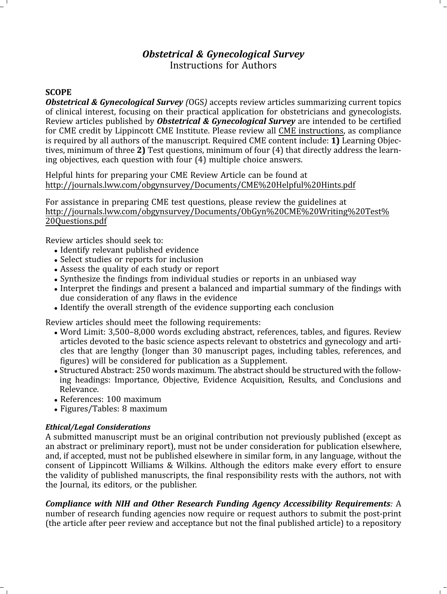# Obstetrical & Gynecological Survey Instructions for Authors

### **SCOPE**

**Obstetrical & Gynecological Survey** (OGS) accepts review articles summarizing current topics of clinical interest, focusing on their practical application for obstetricians and gynecologists. Review articles published by **Obstetrical & Gynecological Survey** are intended to be certified for CME credit by Lippincott CME Institute. Please review all CME instructions, as compliance is required by all authors of the manuscript. Required CME [content](http://www.journals.lww.com/obgynsurvey/Documents/CME_Faculty_Instructions.pdf) [include:](http://www.journals.lww.com/obgynsurvey/Documents/CME_Faculty_Instructions.pdf)  $1$ ) Learning Objectives, minimum of three 2) Test questions, minimum of four (4) that directly address the learning objectives, each question with four (4) multiple choice answers.

Helpful hints for preparing your CME Review Article can be found at [http://journals.lww.com/obgynsurvey/Documents/CME%20Helpful%20Hints.pd](http://journals.lww.com/obgynsurvey/Documents/CME%20Helpful%20Hints.pdf)f

For assistance in preparing CME test questions, please review the guidelines at [http://journals.lww.com/obgynsurvey/Documents/ObGyn%20CME%20Writing%20Test%](http://journals.lww.com/obgynsurvey/Documents/ObGyn%20CME%20Writing%20) [20Questions.pd](http://journals.lww.com/obgynsurvey/Documents/ObGyn%20CME%20Writing%20)f

Review articles should seek to:

- Identify relevant published evidence
- Select studies or reports for inclusion
- Assess the quality of each study or report
- Synthesize the findings from individual studies or reports in an unbiased way
- Interpret the findings and present a balanced and impartial summary of the findings with due consideration of any flaws in the evidence
- Identify the overall strength of the evidence supporting each conclusion

Review articles should meet the following requirements:

- Word Limit: 3,500–8,000 words excluding abstract, references, tables, and figures. Review articles devoted to the basic science aspects relevant to obstetrics and gynecology and articles that are lengthy (longer than 30 manuscript pages, including tables, references, and figures) will be considered for publication as a Supplement.
- Structured Abstract: 250 words maximum. The abstract should be structured with the following headings: Importance, Objective, Evidence Acquisition, Results, and Conclusions and Relevance.
- References: 100 maximum
- Figures/Tables: 8 maximum

### Ethical/Legal Considerations

A submitted manuscript must be an original contribution not previously published (except as an abstract or preliminary report), must not be under consideration for publication elsewhere, and, if accepted, must not be published elsewhere in similar form, in any language, without the consent of Lippincott Williams & Wilkins. Although the editors make every effort to ensure the validity of published manuscripts, the final responsibility rests with the authors, not with the Journal, its editors, or the publisher.

Compliance with NIH and Other Research Funding Agency Accessibility Requirements: A number of research funding agencies now require or request authors to submit the post-print (the article after peer review and acceptance but not the final published article) to a repository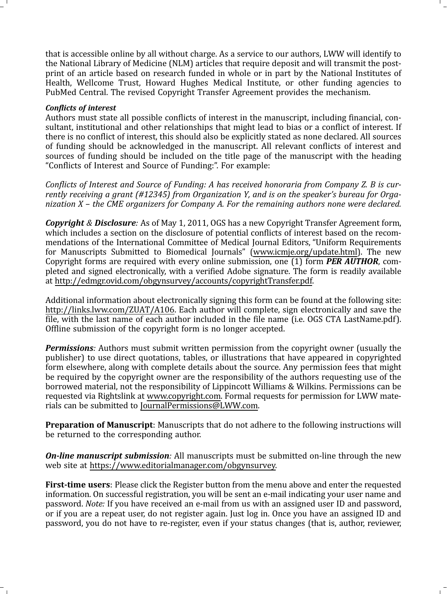that is accessible online by all without charge. As a service to our authors, LWW will identify to the National Library of Medicine (NLM) articles that require deposit and will transmit the postprint of an article based on research funded in whole or in part by the National Institutes of Health, Wellcome Trust, Howard Hughes Medical Institute, or other funding agencies to PubMed Central. The revised Copyright Transfer Agreement provides the mechanism.

#### Conflicts of interest

Authors must state all possible conflicts of interest in the manuscript, including financial, consultant, institutional and other relationships that might lead to bias or a conflict of interest. If there is no conflict of interest, this should also be explicitly stated as none declared. All sources of funding should be acknowledged in the manuscript. All relevant conflicts of interest and sources of funding should be included on the title page of the manuscript with the heading "Conflicts of Interest and Source of Funding:". For example:

Conflicts of Interest and Source of Funding: A has received honoraria from Company Z. B is currently receiving a grant (#12345) from Organization Y, and is on the speaker's bureau for Organization X – the CME organizers for Company A. For the remaining authors none were declared.

**Copyright & Disclosure:** As of May 1, 2011, OGS has a new Copyright Transfer Agreement form, which includes a section on the disclosure of potential conflicts of interest based on the recommendations of the International Committee of Medical Journal Editors, "Uniform Requirements for Manuscripts Submitted to Biomedical Journals" (www.icmje.org/update.html). The new Copyright forms are required with every online submission, one  $(1)$  form **PER AUTHOR**, completed and signed electronically, with a verified Adobe signature. The form is readily available at [http://edmgr.ovid.com/obgynsurvey/accounts/copyrightTransfer.pd](http://edmgr.ovid.com/obgynsurvey/accounts/copyrightTransfer.pdf)f.

Additional information about electronically signing this form can be found at the following site: http://links.lww.com/ZUAT/A106. Each author will complete, sign electronically and save the [file,](http://links.lww.com/ZUAT/A106) [with](http://links.lww.com/ZUAT/A106) [the](http://links.lww.com/ZUAT/A106) [last](http://links.lww.com/ZUAT/A106) [name](http://links.lww.com/ZUAT/A106) [of](http://links.lww.com/ZUAT/A106) [each](http://links.lww.com/ZUAT/A106) [a](http://links.lww.com/ZUAT/A106)uthor included in the file name (i.e. OGS CTA LastName.pdf). Offline submission of the copyright form is no longer accepted.

**Permissions:** Authors must submit written permission from the copyright owner (usually the publisher) to use direct quotations, tables, or illustrations that have appeared in copyrighted form elsewhere, along with complete details about the source. Any permission fees that might be required by the copyright owner are the responsibility of the authors requesting use of the borrowed material, not the responsibility of Lippincott Williams & Wilkins. Permissions can be requested via Rightslink at www.copyright.com. Formal requests for permission for LWW materials can be submitted to [JournalPermissions](http://www.copyright.com)[@LWW.com](mailto:JournalPermissions@LWW.com).

Preparation of Manuscript: Manuscripts that do not adhere to the following instructions will be returned to the corresponding author.

**On-line manuscript submission:** All manuscripts must be submitted on-line through the new web site at [https://www.editorialmanager.com/obgynsurve](https://www.editorialmanager.com/obgynsurvey)y.

First-time users: Please click the Register button from the menu above and enter the requested information. On successful registration, you will be sent an e-mail indicating your user name and password. Note: If you have received an e-mail from us with an assigned user ID and password, or if you are a repeat user, do not register again. Just log in. Once you have an assigned ID and password, you do not have to re-register, even if your status changes (that is, author, reviewer,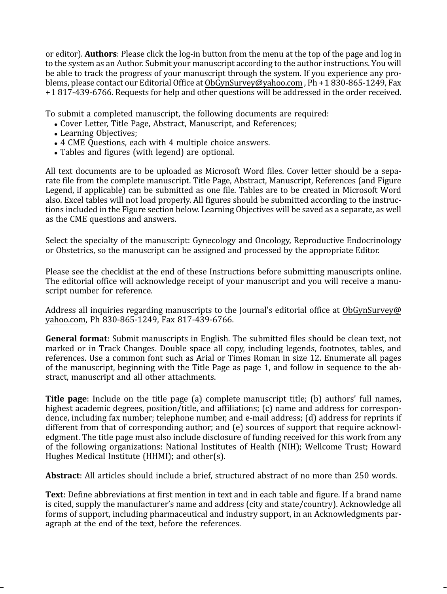or editor). Authors: Please click the log-in button from the menu at the top of the page and log in to the system as an Author. Submit your manuscript according to the author instructions. You will be able to track the progress of your manuscript through the system. If you experience any problems, please contact our Editorial Office at ObGynSurvey@yahoo.com , Ph +1 830-865-1249, Fax +1 817-439-6766. Requests for help and [other questions will be add](mailto:ObGynSurvey@yahoo.com)ressed in the order received.

To submit a completed manuscript, the following documents are required:

- Cover Letter, Title Page, Abstract, Manuscript, and References;
- Learning Objectives;
- 4 CME Questions, each with 4 multiple choice answers.
- Tables and figures (with legend) are optional.

All text documents are to be uploaded as Microsoft Word files. Cover letter should be a separate file from the complete manuscript. Title Page, Abstract, Manuscript, References (and Figure Legend, if applicable) can be submitted as one file. Tables are to be created in Microsoft Word also. Excel tables will not load properly. All figures should be submitted according to the instructions included in the Figure section below. Learning Objectives will be saved as a separate, as well as the CME questions and answers.

Select the specialty of the manuscript: Gynecology and Oncology, Reproductive Endocrinology or Obstetrics, so the manuscript can be assigned and processed by the appropriate Editor.

Please see the checklist at the end of these Instructions before submitting manuscripts online. The editorial office will acknowledge receipt of your manuscript and you will receive a manuscript number for reference.

Address all inquiries regarding manuscripts to the Journal's editorial office at [ObGynSurvey@](mailto:ObGynSurvey@yahoo.com) [yahoo.com](mailto:ObGynSurvey@yahoo.com), Ph 830-865-1249, Fax 817-439-6766.

General format: Submit manuscripts in English. The submitted files should be clean text, not marked or in Track Changes. Double space all copy, including legends, footnotes, tables, and references. Use a common font such as Arial or Times Roman in size 12. Enumerate all pages of the manuscript, beginning with the Title Page as page 1, and follow in sequence to the abstract, manuscript and all other attachments.

**Title page**: Include on the title page (a) complete manuscript title; (b) authors' full names, highest academic degrees, position/title, and affiliations; (c) name and address for correspondence, including fax number; telephone number, and e-mail address; (d) address for reprints if different from that of corresponding author; and (e) sources of support that require acknowledgment. The title page must also include disclosure of funding received for this work from any of the following organizations: National Institutes of Health (NIH); Wellcome Trust; Howard Hughes Medical Institute (HHMI); and other(s).

Abstract: All articles should include a brief, structured abstract of no more than 250 words.

Text: Define abbreviations at first mention in text and in each table and figure. If a brand name is cited, supply the manufacturer's name and address (city and state/country). Acknowledge all forms of support, including pharmaceutical and industry support, in an Acknowledgments paragraph at the end of the text, before the references.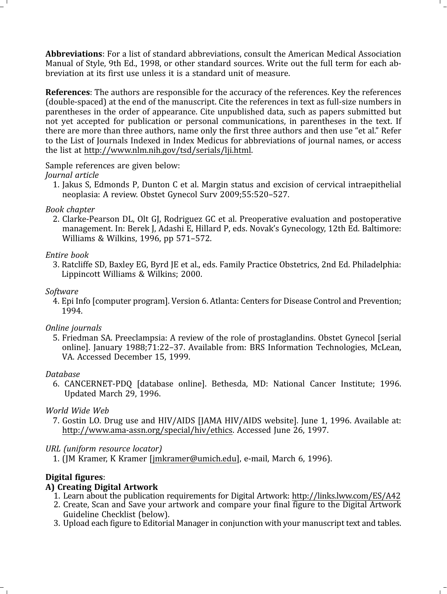Abbreviations: For a list of standard abbreviations, consult the American Medical Association Manual of Style, 9th Ed., 1998, or other standard sources. Write out the full term for each abbreviation at its first use unless it is a standard unit of measure.

References: The authors are responsible for the accuracy of the references. Key the references (double-spaced) at the end of the manuscript. Cite the references in text as full-size numbers in parentheses in the order of appearance. Cite unpublished data, such as papers submitted but not yet accepted for publication or personal communications, in parentheses in the text. If there are more than three authors, name only the first three authors and then use "et al." Refer to the List of Journals Indexed in Index Medicus for abbreviations of journal names, or access the list at [http://www.nlm.nih.gov/tsd/serials/lji.htm](http://www.nlm.nih.gov/tsd/serials/lji.html)l.

Sample references are given below:

### Journal article

1. Jakus S, Edmonds P, Dunton C et al. Margin status and excision of cervical intraepithelial neoplasia: A review. Obstet Gynecol Surv 2009;55:520–527.

### Book chapter

2. Clarke-Pearson DL, Olt GJ, Rodriguez GC et al. Preoperative evaluation and postoperative management. In: Berek J, Adashi E, Hillard P, eds. Novak's Gynecology, 12th Ed. Baltimore: Williams & Wilkins, 1996, pp 571–572.

### Entire book

3. Ratcliffe SD, Baxley EG, Byrd JE et al., eds. Family Practice Obstetrics, 2nd Ed. Philadelphia: Lippincott Williams & Wilkins; 2000.

### Software

4. Epi Info [computer program]. Version 6. Atlanta: Centers for Disease Control and Prevention; 1994.

### Online journals

5. Friedman SA. Preeclampsia: A review of the role of prostaglandins. Obstet Gynecol [serial online]. January 1988;71:22–37. Available from: BRS Information Technologies, McLean, VA. Accessed December 15, 1999.

### Database

6. CANCERNET-PDQ [database online]. Bethesda, MD: National Cancer Institute; 1996. Updated March 29, 1996.

### World Wide Web

7. Gostin LO. Drug use and HIV/AIDS [JAMA HIV/AIDS website]. June 1, 1996. Available at: [http://www.ama-assn.org/special/hiv/ethic](http://www.ama?assn.org/special/hiv/ethics)s. Accessed June 26, 1997.

# URL (uniform resource locator)

1. (JM Kramer, K Krame[r \[jmkramer@umich.ed](mailto:jmkramer@umich.edu)u], e-mail, March 6, 1996).

# Digital figures:

# A) Creating Digital Artwork

- 1. Learn about the publication requirements for Digital Artwork: http://links.lww.com/ES/A42
- 2. Create, Scan and Save your artwork and compare your fin[al figure to the Digital Artwor](http://links.lww.com/ES/A42)k Guideline Checklist (below).
- 3. Upload each figure to Editorial Manager in conjunction with your manuscript text and tables.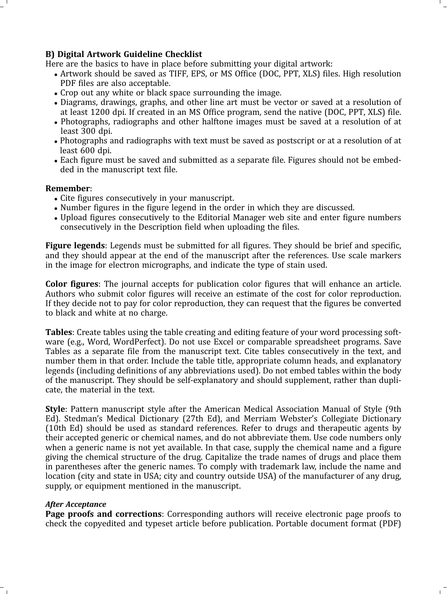### B) Digital Artwork Guideline Checklist

Here are the basics to have in place before submitting your digital artwork:

- Artwork should be saved as TIFF, EPS, or MS Office (DOC, PPT, XLS) files. High resolution PDF files are also acceptable.
- Crop out any white or black space surrounding the image.
- Diagrams, drawings, graphs, and other line art must be vector or saved at a resolution of at least 1200 dpi. If created in an MS Office program, send the native (DOC, PPT, XLS) file.
- Photographs, radiographs and other halftone images must be saved at a resolution of at least 300 dpi.
- Photographs and radiographs with text must be saved as postscript or at a resolution of at least 600 dpi.
- Each figure must be saved and submitted as a separate file. Figures should not be embedded in the manuscript text file.

#### Remember:

- Cite figures consecutively in your manuscript.
- Number figures in the figure legend in the order in which they are discussed.
- Upload figures consecutively to the Editorial Manager web site and enter figure numbers consecutively in the Description field when uploading the files.

Figure legends: Legends must be submitted for all figures. They should be brief and specific, and they should appear at the end of the manuscript after the references. Use scale markers in the image for electron micrographs, and indicate the type of stain used.

Color figures: The journal accepts for publication color figures that will enhance an article. Authors who submit color figures will receive an estimate of the cost for color reproduction. If they decide not to pay for color reproduction, they can request that the figures be converted to black and white at no charge.

Tables: Create tables using the table creating and editing feature of your word processing software (e.g., Word, WordPerfect). Do not use Excel or comparable spreadsheet programs. Save Tables as a separate file from the manuscript text. Cite tables consecutively in the text, and number them in that order. Include the table title, appropriate column heads, and explanatory legends (including definitions of any abbreviations used). Do not embed tables within the body of the manuscript. They should be self-explanatory and should supplement, rather than duplicate, the material in the text.

Style: Pattern manuscript style after the American Medical Association Manual of Style (9th Ed). Stedman's Medical Dictionary (27th Ed), and Merriam Webster's Collegiate Dictionary (10th Ed) should be used as standard references. Refer to drugs and therapeutic agents by their accepted generic or chemical names, and do not abbreviate them. Use code numbers only when a generic name is not yet available. In that case, supply the chemical name and a figure giving the chemical structure of the drug. Capitalize the trade names of drugs and place them in parentheses after the generic names. To comply with trademark law, include the name and location (city and state in USA; city and country outside USA) of the manufacturer of any drug, supply, or equipment mentioned in the manuscript.

### After Acceptance

Page proofs and corrections: Corresponding authors will receive electronic page proofs to check the copyedited and typeset article before publication. Portable document format (PDF)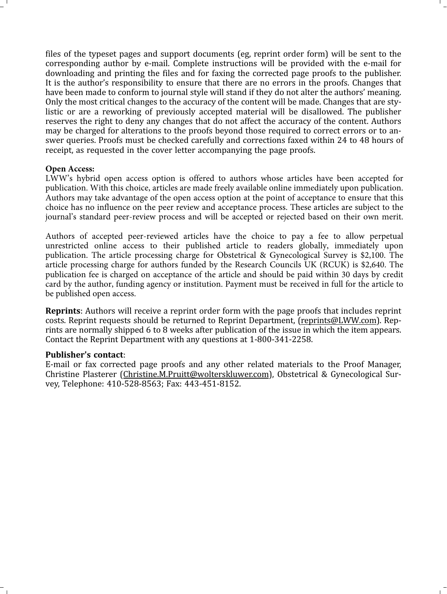files of the typeset pages and support documents (eg, reprint order form) will be sent to the corresponding author by e-mail. Complete instructions will be provided with the e-mail for downloading and printing the files and for faxing the corrected page proofs to the publisher. It is the author's responsibility to ensure that there are no errors in the proofs. Changes that have been made to conform to journal style will stand if they do not alter the authors' meaning. Only the most critical changes to the accuracy of the content will be made. Changes that are stylistic or are a reworking of previously accepted material will be disallowed. The publisher reserves the right to deny any changes that do not affect the accuracy of the content. Authors may be charged for alterations to the proofs beyond those required to correct errors or to answer queries. Proofs must be checked carefully and corrections faxed within 24 to 48 hours of receipt, as requested in the cover letter accompanying the page proofs.

#### **Open Access:**

LWW's hybrid open access option is offered to authors whose articles have been accepted for publication. With this choice, articles are made freely available online [immediately upon pu](mailto:reprints@LWW.com)blication. Authors may take advantage of the open access option at the point of acceptance to ensure that this choice has no influence on the peer review and acceptance process. These articles are subject to the journal's standard peer-review process and will be accepted or rejected based on their own merit.

Authors of accepted peer-reviewed articles have the choice to pay a fee to allow perpetual unrestricted onlin[e access to their published article to](mailto:Christine.M.Pruitt@wolterskluwer.com) readers globally, immediately upon publication. The article processing charge for Obstetrical & Gynecological Survey is \$2,100. The article processing charge for authors funded by the Research Councils UK (RCUK) is \$2,640. The publication fee is charged on acceptance of the article and should be paid within 30 days by credit card by the author, funding agency or institution. Payment must be received in full for the article to be published open access.

Reprints: Authors will receive a reprint order form with the page proofs that includes reprint costs. Reprint requests should be returned to Reprint Department, (reprints@LWW.com). Reprints are normally shipped 6 to 8 weeks after publication of the issue in which the item appears. Contact the Reprint Department with any questions at 1-800-341-2258.

#### Publisher's contact:

E-mail or fax corrected page proofs and any other related materials to the Proof Manager, Christine Plasterer (Christine.M.Pruitt@wolterskluwer.com), Obstetrical & Gynecological Survey, Telephone: 410-528-8563; Fax: 443-451-8152.